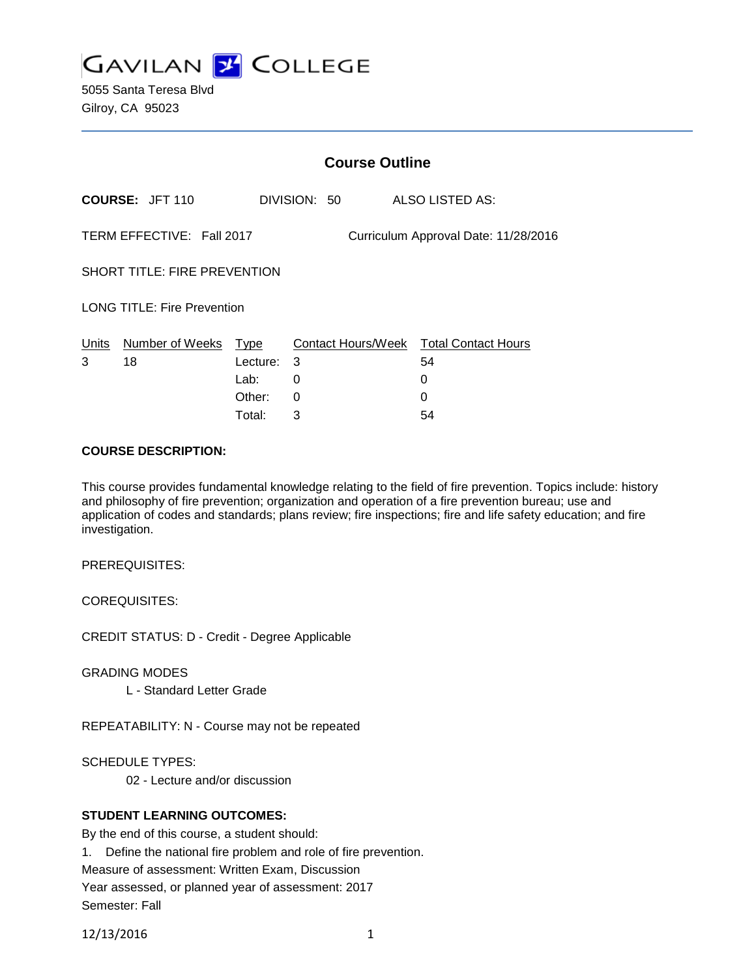

5055 Santa Teresa Blvd Gilroy, CA 95023

|                                                                   |                            | <b>Course Outline</b> |              |  |                                              |
|-------------------------------------------------------------------|----------------------------|-----------------------|--------------|--|----------------------------------------------|
| <b>COURSE: JFT 110</b>                                            |                            |                       | DIVISION: 50 |  | ALSO LISTED AS:                              |
| TERM EFFECTIVE: Fall 2017<br>Curriculum Approval Date: 11/28/2016 |                            |                       |              |  |                                              |
| <b>SHORT TITLE: FIRE PREVENTION</b>                               |                            |                       |              |  |                                              |
| <b>LONG TITLE: Fire Prevention</b>                                |                            |                       |              |  |                                              |
| Units<br>3                                                        | Number of Weeks Type<br>18 | Lecture:              | 3            |  | Contact Hours/Week Total Contact Hours<br>54 |
|                                                                   |                            | Lab:                  | 0            |  | 0                                            |
|                                                                   |                            | Other:                | 0            |  | 0                                            |
|                                                                   |                            | Total:                | 3            |  | 54                                           |

#### **COURSE DESCRIPTION:**

This course provides fundamental knowledge relating to the field of fire prevention. Topics include: history and philosophy of fire prevention; organization and operation of a fire prevention bureau; use and application of codes and standards; plans review; fire inspections; fire and life safety education; and fire investigation.

PREREQUISITES:

COREQUISITES:

CREDIT STATUS: D - Credit - Degree Applicable

GRADING MODES

L - Standard Letter Grade

REPEATABILITY: N - Course may not be repeated

SCHEDULE TYPES:

02 - Lecture and/or discussion

# **STUDENT LEARNING OUTCOMES:**

By the end of this course, a student should: 1. Define the national fire problem and role of fire prevention. Measure of assessment: Written Exam, Discussion Year assessed, or planned year of assessment: 2017 Semester: Fall

12/13/2016 1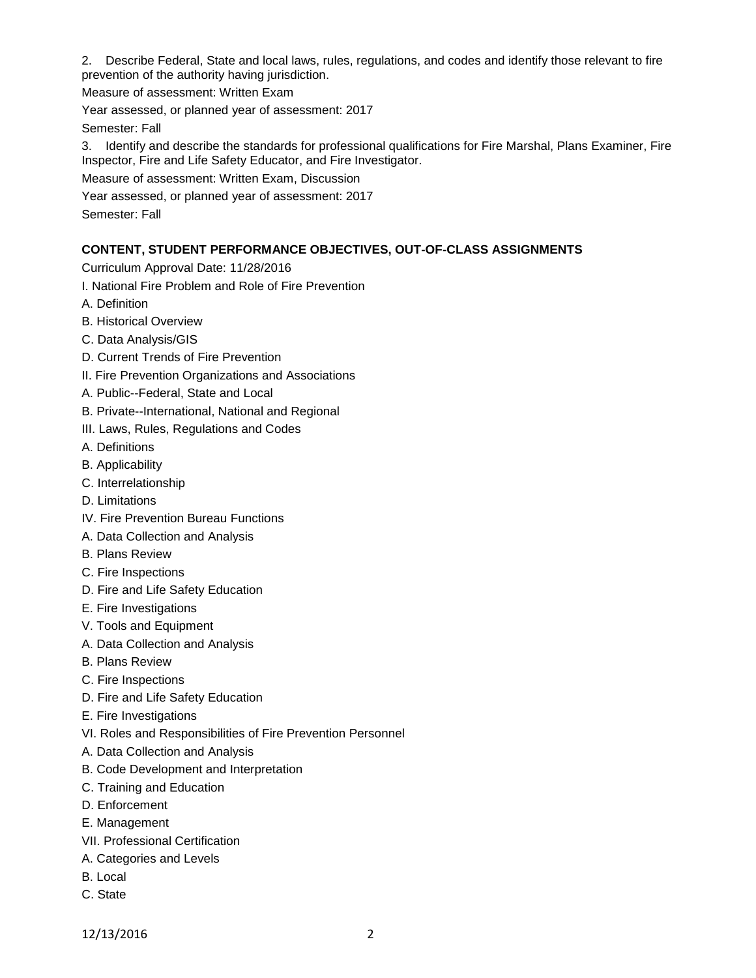2. Describe Federal, State and local laws, rules, regulations, and codes and identify those relevant to fire prevention of the authority having jurisdiction.

Measure of assessment: Written Exam

Year assessed, or planned year of assessment: 2017

Semester: Fall

3. Identify and describe the standards for professional qualifications for Fire Marshal, Plans Examiner, Fire Inspector, Fire and Life Safety Educator, and Fire Investigator.

Measure of assessment: Written Exam, Discussion

Year assessed, or planned year of assessment: 2017

Semester: Fall

#### **CONTENT, STUDENT PERFORMANCE OBJECTIVES, OUT-OF-CLASS ASSIGNMENTS**

Curriculum Approval Date: 11/28/2016

I. National Fire Problem and Role of Fire Prevention

- A. Definition
- B. Historical Overview
- C. Data Analysis/GIS
- D. Current Trends of Fire Prevention
- II. Fire Prevention Organizations and Associations
- A. Public--Federal, State and Local
- B. Private--International, National and Regional
- III. Laws, Rules, Regulations and Codes
- A. Definitions
- B. Applicability
- C. Interrelationship
- D. Limitations
- IV. Fire Prevention Bureau Functions
- A. Data Collection and Analysis
- B. Plans Review
- C. Fire Inspections
- D. Fire and Life Safety Education
- E. Fire Investigations
- V. Tools and Equipment
- A. Data Collection and Analysis
- B. Plans Review
- C. Fire Inspections
- D. Fire and Life Safety Education
- E. Fire Investigations
- VI. Roles and Responsibilities of Fire Prevention Personnel
- A. Data Collection and Analysis
- B. Code Development and Interpretation
- C. Training and Education
- D. Enforcement
- E. Management
- VII. Professional Certification
- A. Categories and Levels
- B. Local
- C. State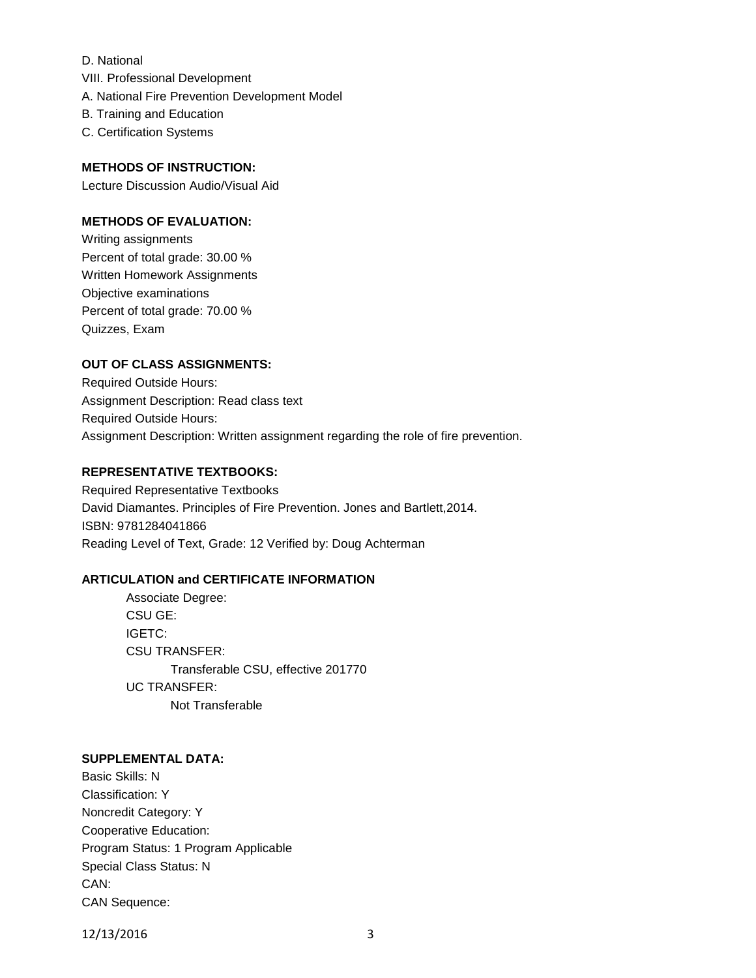- D. National VIII. Professional Development A. National Fire Prevention Development Model B. Training and Education
- C. Certification Systems

# **METHODS OF INSTRUCTION:**

Lecture Discussion Audio/Visual Aid

# **METHODS OF EVALUATION:**

Writing assignments Percent of total grade: 30.00 % Written Homework Assignments Objective examinations Percent of total grade: 70.00 % Quizzes, Exam

# **OUT OF CLASS ASSIGNMENTS:**

Required Outside Hours: Assignment Description: Read class text Required Outside Hours: Assignment Description: Written assignment regarding the role of fire prevention.

# **REPRESENTATIVE TEXTBOOKS:**

Required Representative Textbooks David Diamantes. Principles of Fire Prevention. Jones and Bartlett,2014. ISBN: 9781284041866 Reading Level of Text, Grade: 12 Verified by: Doug Achterman

#### **ARTICULATION and CERTIFICATE INFORMATION**

Associate Degree: CSU GE: IGETC: CSU TRANSFER: Transferable CSU, effective 201770 UC TRANSFER: Not Transferable

#### **SUPPLEMENTAL DATA:**

Basic Skills: N Classification: Y Noncredit Category: Y Cooperative Education: Program Status: 1 Program Applicable Special Class Status: N CAN: CAN Sequence:

12/13/2016 3